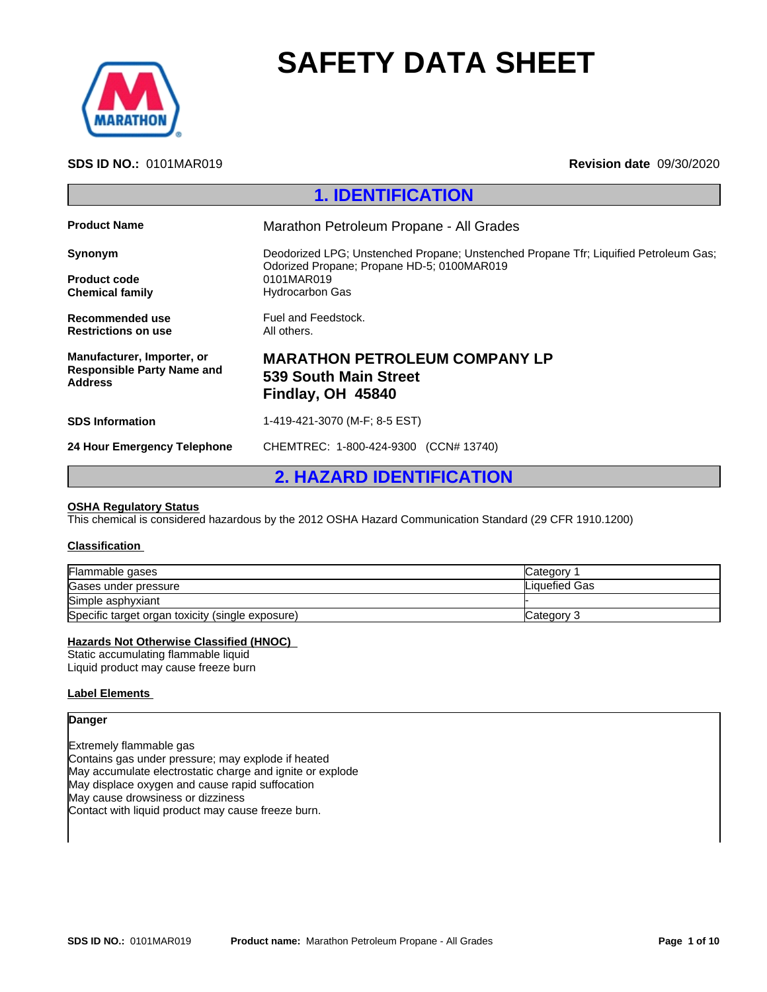

# **SAFETY DATA SHEET**

### **SDS ID NO.:** 0101MAR019 **Revision date** 09/30/2020

| <b>SAFETY DATA SHEET</b>                                                   |                                                                                                                                                                            |  |
|----------------------------------------------------------------------------|----------------------------------------------------------------------------------------------------------------------------------------------------------------------------|--|
| <b>SDS ID NO.: 0101MAR019</b>                                              | <b>Revision date 09/30/2020</b>                                                                                                                                            |  |
|                                                                            | <b>1. IDENTIFICATION</b>                                                                                                                                                   |  |
| <b>Product Name</b>                                                        | Marathon Petroleum Propane - All Grades                                                                                                                                    |  |
| Synonym<br><b>Product code</b><br><b>Chemical family</b>                   | Deodorized LPG; Unstenched Propane; Unstenched Propane Tfr; Liquified Petroleum Gas;<br>Odorized Propane; Propane HD-5; 0100MAR019<br>0101MAR019<br><b>Hydrocarbon Gas</b> |  |
| Recommended use<br><b>Restrictions on use</b>                              | Fuel and Feedstock.<br>All others.                                                                                                                                         |  |
| Manufacturer, Importer, or<br><b>Responsible Party Name and</b><br>Address | <b>MARATHON PETROLEUM COMPANY LP</b><br><b>539 South Main Street</b><br>Findlay, OH 45840                                                                                  |  |
| <b>SDS Information</b>                                                     | 1-419-421-3070 (M-F; 8-5 EST)                                                                                                                                              |  |
|                                                                            |                                                                                                                                                                            |  |
| 24 Hour Emergency Telephone                                                | CHEMTREC: 1-800-424-9300 (CCN# 13740)                                                                                                                                      |  |

### **OSHA Regulatory Status**

#### **Classification**

| Flammable gases                                  | Category      |
|--------------------------------------------------|---------------|
| Gases under pressure                             | Liquefied Gas |
| Simple asphyxiant                                |               |
| Specific target organ toxicity (single exposure) | Category 3    |

### **Hazards Not Otherwise Classified (HNOC)**

Static accumulating flammable liquid Liquid product may cause freeze burn

### **Label Elements**

#### **Danger**

Extremely flammable gas Contains gas under pressure; may explode if heated May accumulate electrostatic charge and ignite or explode May displace oxygen and cause rapid suffocation May cause drowsiness or dizziness Contact with liquid product may cause freeze burn.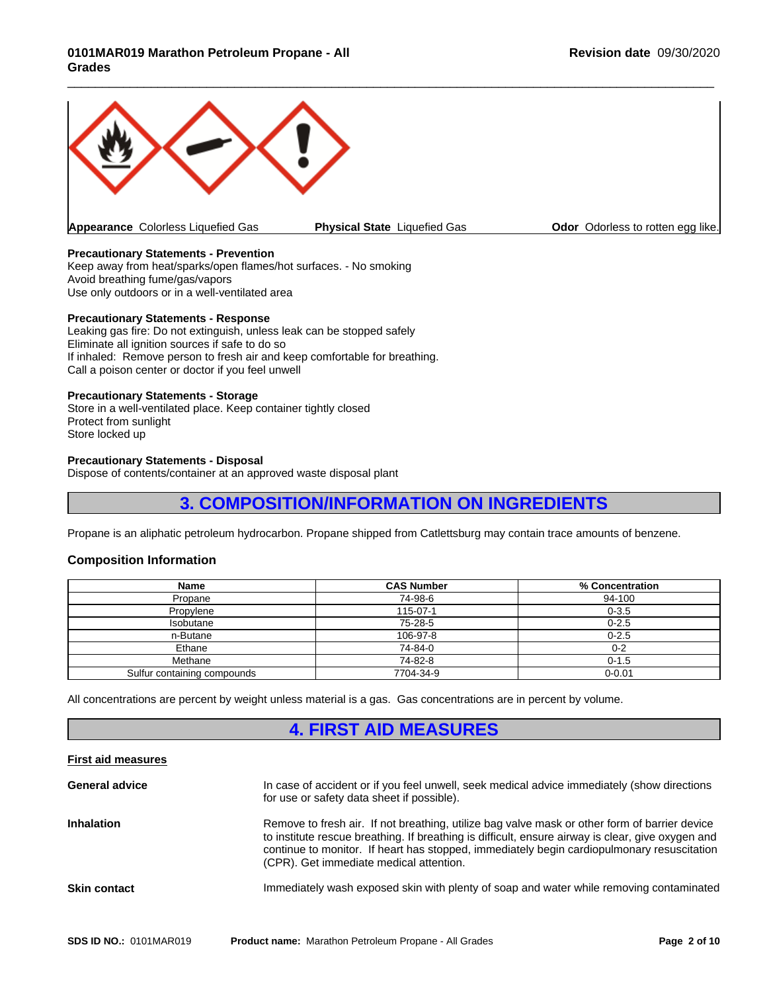

**Appearance** Colorless Liquefied Gas **Physical State** Liquefied Gas **Odor Odorless to rotten egg like.** 

 $\overline{\phantom{a}}$  ,  $\overline{\phantom{a}}$  ,  $\overline{\phantom{a}}$  ,  $\overline{\phantom{a}}$  ,  $\overline{\phantom{a}}$  ,  $\overline{\phantom{a}}$  ,  $\overline{\phantom{a}}$  ,  $\overline{\phantom{a}}$  ,  $\overline{\phantom{a}}$  ,  $\overline{\phantom{a}}$  ,  $\overline{\phantom{a}}$  ,  $\overline{\phantom{a}}$  ,  $\overline{\phantom{a}}$  ,  $\overline{\phantom{a}}$  ,  $\overline{\phantom{a}}$  ,  $\overline{\phantom{a}}$ 

### **Precautionary Statements - Prevention**

Keep away from heat/sparks/open flames/hot surfaces. - No smoking Avoid breathing fume/gas/vapors Use only outdoors or in a well-ventilated area

#### **Precautionary Statements - Response**

Leaking gas fire: Do not extinguish, unless leak can be stopped safely Eliminate all ignition sources if safe to do so If inhaled: Remove person to fresh air and keep comfortable for breathing. Call a poison center or doctor if you feel unwell

#### **Precautionary Statements - Storage**

Store in a well-ventilated place. Keep container tightly closed Protect from sunlight Store locked up

### **Precautionary Statements - Disposal**

Dispose of contents/container at an approved waste disposal plant

### **3. COMPOSITION/INFORMATION ON INGREDIENTS**

Propane is an aliphatic petroleum hydrocarbon. Propane shipped from Catlettsburg may contain trace amounts of benzene.

### **Composition Information**

| <b>Name</b>                 | <b>CAS Number</b> | % Concentration |
|-----------------------------|-------------------|-----------------|
| Propane                     | 74-98-6           | 94-100          |
| Propylene                   | 115-07-1          | $0 - 3.5$       |
| Isobutane                   | 75-28-5           | $0 - 2.5$       |
| n-Butane                    | 106-97-8          | $0 - 2.5$       |
| Ethane                      | 74-84-0           | $0 - 2$         |
| Methane                     | 74-82-8           | $0 - 1.5$       |
| Sulfur containing compounds | 7704-34-9         | $0 - 0.01$      |

All concentrations are percent by weight unless material is a gas. Gas concentrations are in percent by volume.

### **4. FIRST AID MEASURES**

### **First aid measures**

| <b>General advice</b> | In case of accident or if you feel unwell, seek medical advice immediately (show directions<br>for use or safety data sheet if possible).                                                                                                                                                                                                   |
|-----------------------|---------------------------------------------------------------------------------------------------------------------------------------------------------------------------------------------------------------------------------------------------------------------------------------------------------------------------------------------|
| <b>Inhalation</b>     | Remove to fresh air. If not breathing, utilize bag valve mask or other form of barrier device<br>to institute rescue breathing. If breathing is difficult, ensure airway is clear, give oxygen and<br>continue to monitor. If heart has stopped, immediately begin cardiopulmonary resuscitation<br>(CPR). Get immediate medical attention. |
| <b>Skin contact</b>   | Immediately wash exposed skin with plenty of soap and water while removing contaminated                                                                                                                                                                                                                                                     |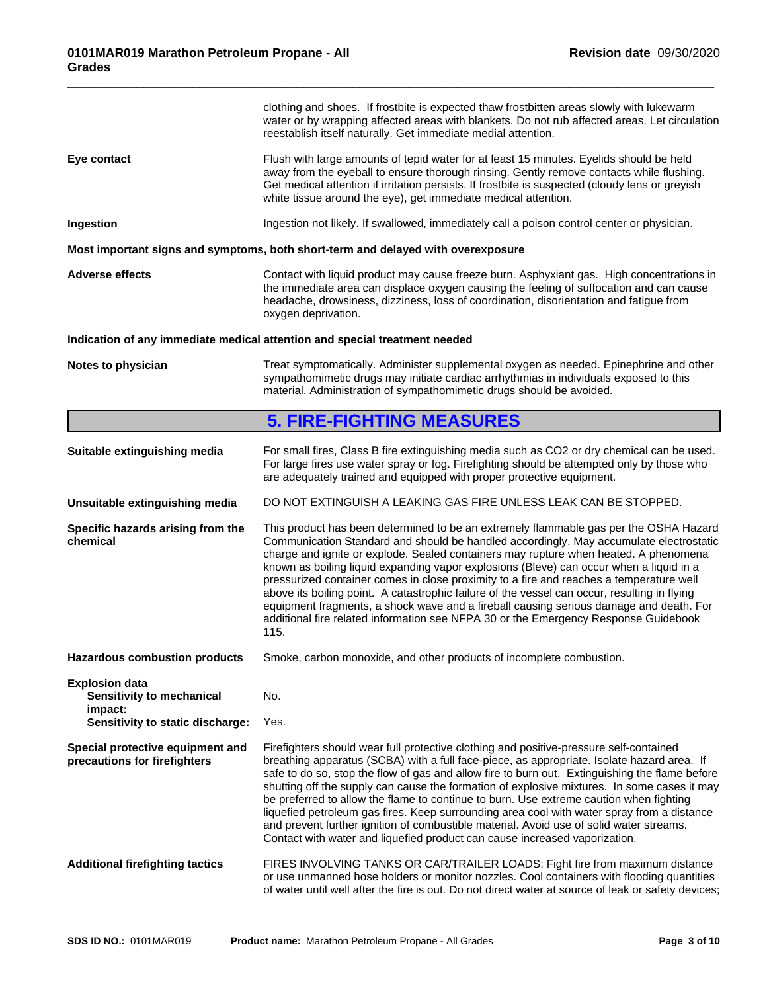|                                                                  | clothing and shoes. If frostbite is expected thaw frostbitten areas slowly with lukewarm<br>water or by wrapping affected areas with blankets. Do not rub affected areas. Let circulation<br>reestablish itself naturally. Get immediate medial attention.                                                                                                                                                                                                                                                                                                                                                                                                                                                                                             |
|------------------------------------------------------------------|--------------------------------------------------------------------------------------------------------------------------------------------------------------------------------------------------------------------------------------------------------------------------------------------------------------------------------------------------------------------------------------------------------------------------------------------------------------------------------------------------------------------------------------------------------------------------------------------------------------------------------------------------------------------------------------------------------------------------------------------------------|
| Eye contact                                                      | Flush with large amounts of tepid water for at least 15 minutes. Eyelids should be held<br>away from the eyeball to ensure thorough rinsing. Gently remove contacts while flushing.<br>Get medical attention if irritation persists. If frostbite is suspected (cloudy lens or greyish<br>white tissue around the eye), get immediate medical attention.                                                                                                                                                                                                                                                                                                                                                                                               |
| Ingestion                                                        | Ingestion not likely. If swallowed, immediately call a poison control center or physician.                                                                                                                                                                                                                                                                                                                                                                                                                                                                                                                                                                                                                                                             |
|                                                                  | Most important signs and symptoms, both short-term and delayed with overexposure                                                                                                                                                                                                                                                                                                                                                                                                                                                                                                                                                                                                                                                                       |
| <b>Adverse effects</b>                                           | Contact with liquid product may cause freeze burn. Asphyxiant gas. High concentrations in<br>the immediate area can displace oxygen causing the feeling of suffocation and can cause<br>headache, drowsiness, dizziness, loss of coordination, disorientation and fatigue from<br>oxygen deprivation.                                                                                                                                                                                                                                                                                                                                                                                                                                                  |
|                                                                  | Indication of any immediate medical attention and special treatment needed                                                                                                                                                                                                                                                                                                                                                                                                                                                                                                                                                                                                                                                                             |
| Notes to physician                                               | Treat symptomatically. Administer supplemental oxygen as needed. Epinephrine and other<br>sympathomimetic drugs may initiate cardiac arrhythmias in individuals exposed to this<br>material. Administration of sympathomimetic drugs should be avoided.                                                                                                                                                                                                                                                                                                                                                                                                                                                                                                |
|                                                                  | <b>5. FIRE-FIGHTING MEASURES</b>                                                                                                                                                                                                                                                                                                                                                                                                                                                                                                                                                                                                                                                                                                                       |
| Suitable extinguishing media                                     | For small fires, Class B fire extinguishing media such as CO2 or dry chemical can be used.<br>For large fires use water spray or fog. Firefighting should be attempted only by those who<br>are adequately trained and equipped with proper protective equipment.                                                                                                                                                                                                                                                                                                                                                                                                                                                                                      |
| Unsuitable extinguishing media                                   | DO NOT EXTINGUISH A LEAKING GAS FIRE UNLESS LEAK CAN BE STOPPED.                                                                                                                                                                                                                                                                                                                                                                                                                                                                                                                                                                                                                                                                                       |
| Specific hazards arising from the<br>chemical                    | This product has been determined to be an extremely flammable gas per the OSHA Hazard<br>Communication Standard and should be handled accordingly. May accumulate electrostatic<br>charge and ignite or explode. Sealed containers may rupture when heated. A phenomena<br>known as boiling liquid expanding vapor explosions (Bleve) can occur when a liquid in a<br>pressurized container comes in close proximity to a fire and reaches a temperature well<br>above its boiling point. A catastrophic failure of the vessel can occur, resulting in flying<br>equipment fragments, a shock wave and a fireball causing serious damage and death. For<br>additional fire related information see NFPA 30 or the Emergency Response Guidebook<br>115. |
| <b>Hazardous combustion products</b>                             | Smoke, carbon monoxide, and other products of incomplete combustion.                                                                                                                                                                                                                                                                                                                                                                                                                                                                                                                                                                                                                                                                                   |
| <b>Explosion data</b><br>Sensitivity to mechanical<br>impact:    | No.                                                                                                                                                                                                                                                                                                                                                                                                                                                                                                                                                                                                                                                                                                                                                    |
| Sensitivity to static discharge:                                 | Yes.                                                                                                                                                                                                                                                                                                                                                                                                                                                                                                                                                                                                                                                                                                                                                   |
| Special protective equipment and<br>precautions for firefighters | Firefighters should wear full protective clothing and positive-pressure self-contained<br>breathing apparatus (SCBA) with a full face-piece, as appropriate. Isolate hazard area. If<br>safe to do so, stop the flow of gas and allow fire to burn out. Extinguishing the flame before<br>shutting off the supply can cause the formation of explosive mixtures. In some cases it may<br>be preferred to allow the flame to continue to burn. Use extreme caution when fighting<br>liquefied petroleum gas fires. Keep surrounding area cool with water spray from a distance<br>and prevent further ignition of combustible material. Avoid use of solid water streams.<br>Contact with water and liquefied product can cause increased vaporization. |
| <b>Additional firefighting tactics</b>                           | FIRES INVOLVING TANKS OR CAR/TRAILER LOADS: Fight fire from maximum distance<br>or use unmanned hose holders or monitor nozzles. Cool containers with flooding quantities<br>of water until well after the fire is out. Do not direct water at source of leak or safety devices;                                                                                                                                                                                                                                                                                                                                                                                                                                                                       |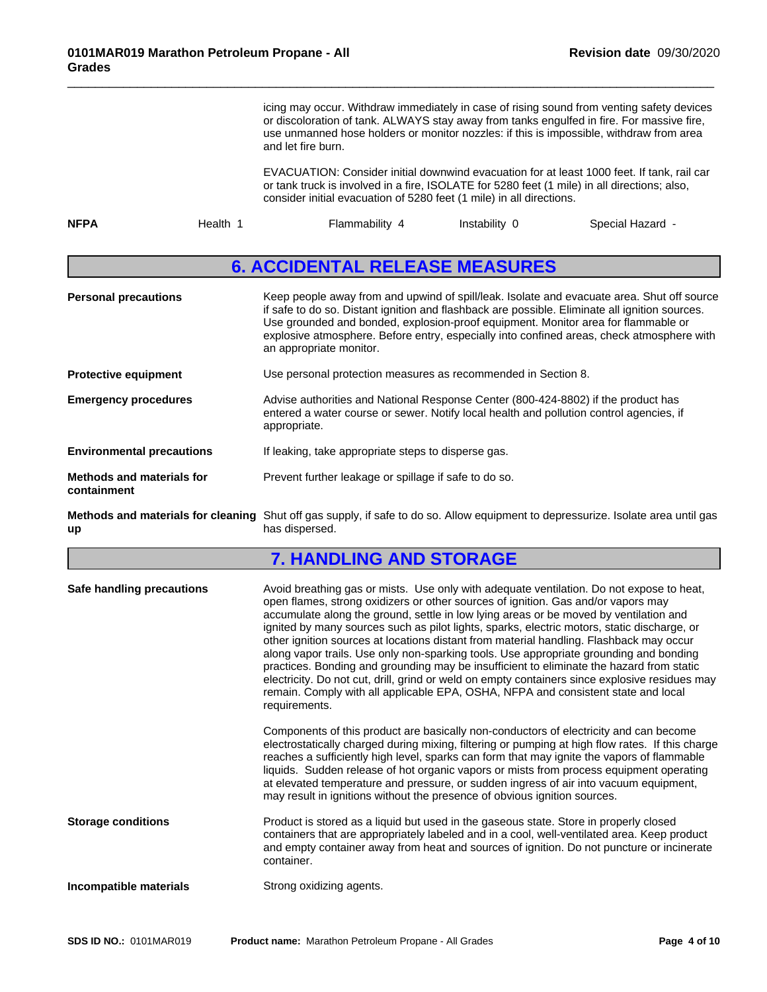|                                                 | icing may occur. Withdraw immediately in case of rising sound from venting safety devices<br>or discoloration of tank. ALWAYS stay away from tanks engulfed in fire. For massive fire,<br>use unmanned hose holders or monitor nozzles: if this is impossible, withdraw from area<br>and let fire burn.                                                                                                                                                                                                                                                                                                                                                                                                                                                                                                                                                        |  |  |
|-------------------------------------------------|----------------------------------------------------------------------------------------------------------------------------------------------------------------------------------------------------------------------------------------------------------------------------------------------------------------------------------------------------------------------------------------------------------------------------------------------------------------------------------------------------------------------------------------------------------------------------------------------------------------------------------------------------------------------------------------------------------------------------------------------------------------------------------------------------------------------------------------------------------------|--|--|
|                                                 | EVACUATION: Consider initial downwind evacuation for at least 1000 feet. If tank, rail car<br>or tank truck is involved in a fire, ISOLATE for 5280 feet (1 mile) in all directions; also,<br>consider initial evacuation of 5280 feet (1 mile) in all directions.                                                                                                                                                                                                                                                                                                                                                                                                                                                                                                                                                                                             |  |  |
| <b>NFPA</b><br>Health 1                         | Flammability 4<br>Instability 0<br>Special Hazard -                                                                                                                                                                                                                                                                                                                                                                                                                                                                                                                                                                                                                                                                                                                                                                                                            |  |  |
|                                                 | <b>6. ACCIDENTAL RELEASE MEASURES</b>                                                                                                                                                                                                                                                                                                                                                                                                                                                                                                                                                                                                                                                                                                                                                                                                                          |  |  |
| <b>Personal precautions</b>                     | Keep people away from and upwind of spill/leak. Isolate and evacuate area. Shut off source<br>if safe to do so. Distant ignition and flashback are possible. Eliminate all ignition sources.<br>Use grounded and bonded, explosion-proof equipment. Monitor area for flammable or<br>explosive atmosphere. Before entry, especially into confined areas, check atmosphere with<br>an appropriate monitor.                                                                                                                                                                                                                                                                                                                                                                                                                                                      |  |  |
| <b>Protective equipment</b>                     | Use personal protection measures as recommended in Section 8.                                                                                                                                                                                                                                                                                                                                                                                                                                                                                                                                                                                                                                                                                                                                                                                                  |  |  |
| <b>Emergency procedures</b>                     | Advise authorities and National Response Center (800-424-8802) if the product has<br>entered a water course or sewer. Notify local health and pollution control agencies, if<br>appropriate.                                                                                                                                                                                                                                                                                                                                                                                                                                                                                                                                                                                                                                                                   |  |  |
| <b>Environmental precautions</b>                | If leaking, take appropriate steps to disperse gas.                                                                                                                                                                                                                                                                                                                                                                                                                                                                                                                                                                                                                                                                                                                                                                                                            |  |  |
| <b>Methods and materials for</b><br>containment | Prevent further leakage or spillage if safe to do so.                                                                                                                                                                                                                                                                                                                                                                                                                                                                                                                                                                                                                                                                                                                                                                                                          |  |  |
| up                                              | Methods and materials for cleaning Shut off gas supply, if safe to do so. Allow equipment to depressurize. Isolate area until gas<br>has dispersed.                                                                                                                                                                                                                                                                                                                                                                                                                                                                                                                                                                                                                                                                                                            |  |  |
|                                                 | <b>7. HANDLING AND STORAGE</b>                                                                                                                                                                                                                                                                                                                                                                                                                                                                                                                                                                                                                                                                                                                                                                                                                                 |  |  |
| Safe handling precautions                       | Avoid breathing gas or mists. Use only with adequate ventilation. Do not expose to heat,<br>open flames, strong oxidizers or other sources of ignition. Gas and/or vapors may<br>accumulate along the ground, settle in low lying areas or be moved by ventilation and<br>ignited by many sources such as pilot lights, sparks, electric motors, static discharge, or<br>other ignition sources at locations distant from material handling. Flashback may occur<br>along vapor trails. Use only non-sparking tools. Use appropriate grounding and bonding<br>practices. Bonding and grounding may be insufficient to eliminate the hazard from static<br>electricity. Do not cut, drill, grind or weld on empty containers since explosive residues may<br>remain. Comply with all applicable EPA, OSHA, NFPA and consistent state and local<br>requirements. |  |  |
|                                                 | Components of this product are basically non-conductors of electricity and can become<br>electrostatically charged during mixing, filtering or pumping at high flow rates. If this charge<br>reaches a sufficiently high level, sparks can form that may ignite the vapors of flammable<br>liquids. Sudden release of hot organic vapors or mists from process equipment operating<br>at elevated temperature and pressure, or sudden ingress of air into vacuum equipment,<br>may result in ignitions without the presence of obvious ignition sources.                                                                                                                                                                                                                                                                                                       |  |  |
| <b>Storage conditions</b>                       | Product is stored as a liquid but used in the gaseous state. Store in properly closed<br>containers that are appropriately labeled and in a cool, well-ventilated area. Keep product<br>and empty container away from heat and sources of ignition. Do not puncture or incinerate<br>container.                                                                                                                                                                                                                                                                                                                                                                                                                                                                                                                                                                |  |  |

**Incompatible materials Strong oxidizing agents.**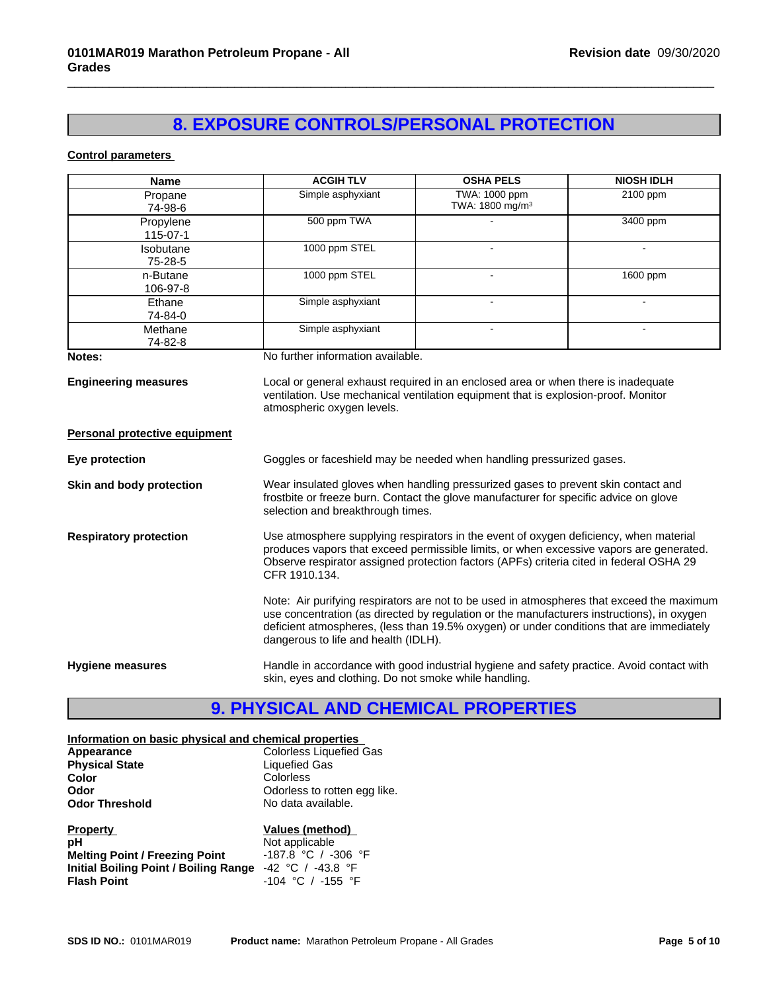## **8. EXPOSURE CONTROLS/PERSONAL PROTECTION**

 $\overline{\phantom{a}}$  ,  $\overline{\phantom{a}}$  ,  $\overline{\phantom{a}}$  ,  $\overline{\phantom{a}}$  ,  $\overline{\phantom{a}}$  ,  $\overline{\phantom{a}}$  ,  $\overline{\phantom{a}}$  ,  $\overline{\phantom{a}}$  ,  $\overline{\phantom{a}}$  ,  $\overline{\phantom{a}}$  ,  $\overline{\phantom{a}}$  ,  $\overline{\phantom{a}}$  ,  $\overline{\phantom{a}}$  ,  $\overline{\phantom{a}}$  ,  $\overline{\phantom{a}}$  ,  $\overline{\phantom{a}}$ 

### **Control parameters**

| <b>Name</b>                          | <b>ACGIH TLV</b>                                      | <b>OSHA PELS</b>                                                                                                                                                                                                                                                                    | <b>NIOSH IDLH</b> |
|--------------------------------------|-------------------------------------------------------|-------------------------------------------------------------------------------------------------------------------------------------------------------------------------------------------------------------------------------------------------------------------------------------|-------------------|
| Propane<br>74-98-6                   | Simple asphyxiant                                     | TWA: 1000 ppm<br>TWA: 1800 mg/m <sup>3</sup>                                                                                                                                                                                                                                        | $2100$ ppm        |
| Propylene<br>115-07-1                | 500 ppm TWA                                           |                                                                                                                                                                                                                                                                                     | 3400 ppm          |
| Isobutane<br>75-28-5                 | 1000 ppm STEL                                         |                                                                                                                                                                                                                                                                                     |                   |
| n-Butane<br>106-97-8                 | 1000 ppm STEL                                         |                                                                                                                                                                                                                                                                                     | 1600 ppm          |
| Ethane<br>74-84-0                    | Simple asphyxiant                                     |                                                                                                                                                                                                                                                                                     |                   |
| Methane<br>74-82-8                   | Simple asphyxiant                                     |                                                                                                                                                                                                                                                                                     |                   |
| Notes:                               | No further information available.                     |                                                                                                                                                                                                                                                                                     |                   |
| <b>Personal protective equipment</b> | atmospheric oxygen levels.                            | ventilation. Use mechanical ventilation equipment that is explosion-proof. Monitor                                                                                                                                                                                                  |                   |
| Eye protection                       |                                                       | Goggles or faceshield may be needed when handling pressurized gases.                                                                                                                                                                                                                |                   |
| Skin and body protection             | selection and breakthrough times.                     | Wear insulated gloves when handling pressurized gases to prevent skin contact and<br>frostbite or freeze burn. Contact the glove manufacturer for specific advice on glove                                                                                                          |                   |
| <b>Respiratory protection</b>        | CFR 1910.134.                                         | Use atmosphere supplying respirators in the event of oxygen deficiency, when material<br>produces vapors that exceed permissible limits, or when excessive vapors are generated.<br>Observe respirator assigned protection factors (APFs) criteria cited in federal OSHA 29         |                   |
|                                      | dangerous to life and health (IDLH).                  | Note: Air purifying respirators are not to be used in atmospheres that exceed the maximum<br>use concentration (as directed by regulation or the manufacturers instructions), in oxygen<br>deficient atmospheres, (less than 19.5% oxygen) or under conditions that are immediately |                   |
| <b>Hygiene measures</b>              | skin, eyes and clothing. Do not smoke while handling. | Handle in accordance with good industrial hygiene and safety practice. Avoid contact with                                                                                                                                                                                           |                   |

## **9. PHYSICAL AND CHEMICAL PROPERTIES**

### **Information on basic physical and chemical properties**

| Appearance            | Colorless Liquefied Gas      |  |
|-----------------------|------------------------------|--|
| <b>Physical State</b> | Liquefied Gas                |  |
| Color                 | Colorless                    |  |
| Odor                  | Odorless to rotten egg like. |  |
| <b>Odor Threshold</b> | No data available.           |  |
|                       |                              |  |

| <b>Property</b>                                             | Values (method)         |
|-------------------------------------------------------------|-------------------------|
| рH                                                          | Not applicable          |
| <b>Melting Point / Freezing Point</b>                       | $-187.8$ °C / $-306$ °F |
| Initial Boiling Point / Boiling Range $-42$ °C / $-43.8$ °F |                         |
| <b>Flash Point</b>                                          | $-104$ °C / $-155$ °F   |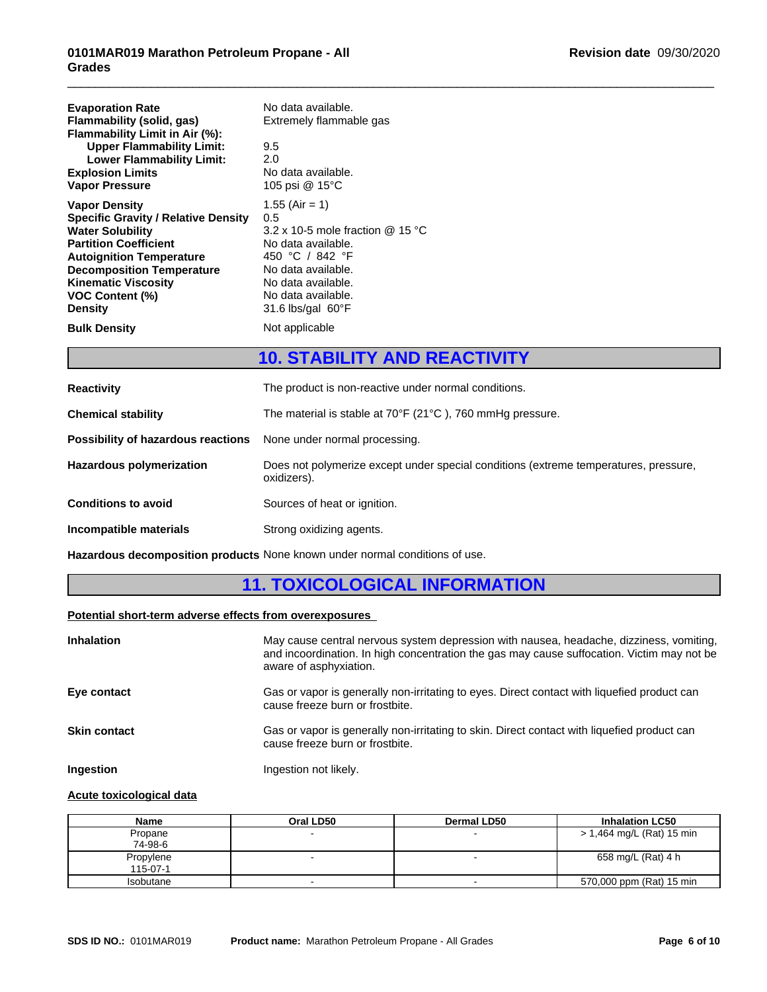| <b>Evaporation Rate</b><br>Flammability (solid, gas)<br>Flammability Limit in Air (%):<br><b>Upper Flammability Limit:</b><br><b>Lower Flammability Limit:</b><br><b>Explosion Limits</b><br><b>Vapor Pressure</b>                                                             | No data available.<br>Extremely flammable gas<br>9.5<br>2.0<br>No data available.<br>105 psi @ 15°C                                                                                                     |
|--------------------------------------------------------------------------------------------------------------------------------------------------------------------------------------------------------------------------------------------------------------------------------|---------------------------------------------------------------------------------------------------------------------------------------------------------------------------------------------------------|
| <b>Vapor Density</b><br><b>Specific Gravity / Relative Density</b><br><b>Water Solubility</b><br><b>Partition Coefficient</b><br><b>Autoignition Temperature</b><br><b>Decomposition Temperature</b><br><b>Kinematic Viscosity</b><br><b>VOC Content (%)</b><br><b>Density</b> | $1.55$ (Air = 1)<br>0.5<br>3.2 x 10-5 mole fraction $@$ 15 °C<br>No data available.<br>450 °C / 842 °F<br>No data available.<br>No data available.<br>No data available.<br>31.6 lbs/gal $60^{\circ}$ F |
| <b>Bulk Density</b>                                                                                                                                                                                                                                                            | Not applicable                                                                                                                                                                                          |

### **10. STABILITY AND REACTIVITY**

 $\overline{\phantom{a}}$  ,  $\overline{\phantom{a}}$  ,  $\overline{\phantom{a}}$  ,  $\overline{\phantom{a}}$  ,  $\overline{\phantom{a}}$  ,  $\overline{\phantom{a}}$  ,  $\overline{\phantom{a}}$  ,  $\overline{\phantom{a}}$  ,  $\overline{\phantom{a}}$  ,  $\overline{\phantom{a}}$  ,  $\overline{\phantom{a}}$  ,  $\overline{\phantom{a}}$  ,  $\overline{\phantom{a}}$  ,  $\overline{\phantom{a}}$  ,  $\overline{\phantom{a}}$  ,  $\overline{\phantom{a}}$ 

| <b>Reactivity</b>                  | The product is non-reactive under normal conditions.                                                |
|------------------------------------|-----------------------------------------------------------------------------------------------------|
| <b>Chemical stability</b>          | The material is stable at $70^{\circ}$ F (21 $^{\circ}$ C), 760 mmHg pressure.                      |
| Possibility of hazardous reactions | None under normal processing.                                                                       |
| <b>Hazardous polymerization</b>    | Does not polymerize except under special conditions (extreme temperatures, pressure,<br>oxidizers). |
| <b>Conditions to avoid</b>         | Sources of heat or ignition.                                                                        |
| Incompatible materials             | Strong oxidizing agents.                                                                            |

**Hazardous decomposition products** None known under normal conditions of use.

### **11. TOXICOLOGICAL INFORMATION**

### **Potential short-term adverse effects from overexposures**

| <b>Inhalation</b>   | May cause central nervous system depression with nausea, headache, dizziness, vomiting,<br>and incoordination. In high concentration the gas may cause suffocation. Victim may not be<br>aware of asphyxiation. |
|---------------------|-----------------------------------------------------------------------------------------------------------------------------------------------------------------------------------------------------------------|
| Eye contact         | Gas or vapor is generally non-irritating to eyes. Direct contact with liquefied product can<br>cause freeze burn or frostbite.                                                                                  |
| <b>Skin contact</b> | Gas or vapor is generally non-irritating to skin. Direct contact with liquefied product can<br>cause freeze burn or frostbite.                                                                                  |
| Ingestion           | Ingestion not likely.                                                                                                                                                                                           |

### **Acute toxicological data**

| Name      | Oral LD50 | <b>Dermal LD50</b> | <b>Inhalation LC50</b>    |
|-----------|-----------|--------------------|---------------------------|
| Propane   |           |                    | > 1,464 mg/L (Rat) 15 min |
| 74-98-6   |           |                    |                           |
| Propylene |           |                    | 658 mg/L (Rat) 4 h        |
| 115-07-1  |           |                    |                           |
| Isobutane |           |                    | 570,000 ppm (Rat) 15 min  |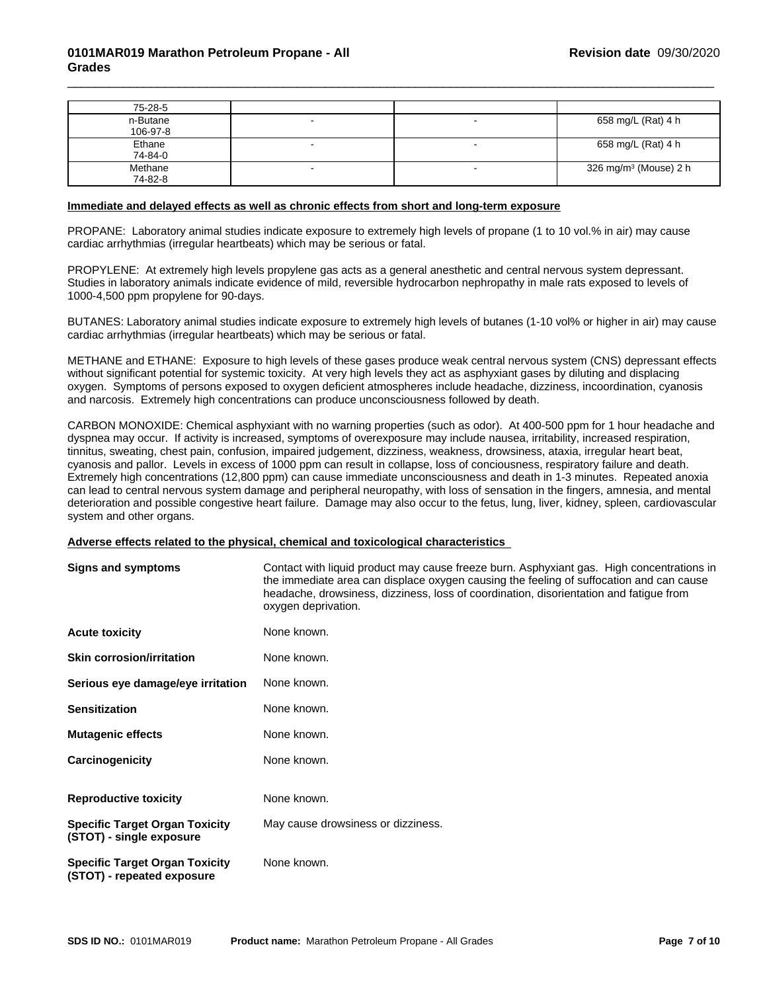| 75-28-5  |  |                                   |
|----------|--|-----------------------------------|
| n-Butane |  | 658 mg/L (Rat) 4 h                |
| 106-97-8 |  |                                   |
| Ethane   |  | 658 mg/L (Rat) 4 h                |
| 74-84-0  |  |                                   |
| Methane  |  | 326 mg/m <sup>3</sup> (Mouse) 2 h |
| 74-82-8  |  |                                   |

 $\overline{\phantom{a}}$  ,  $\overline{\phantom{a}}$  ,  $\overline{\phantom{a}}$  ,  $\overline{\phantom{a}}$  ,  $\overline{\phantom{a}}$  ,  $\overline{\phantom{a}}$  ,  $\overline{\phantom{a}}$  ,  $\overline{\phantom{a}}$  ,  $\overline{\phantom{a}}$  ,  $\overline{\phantom{a}}$  ,  $\overline{\phantom{a}}$  ,  $\overline{\phantom{a}}$  ,  $\overline{\phantom{a}}$  ,  $\overline{\phantom{a}}$  ,  $\overline{\phantom{a}}$  ,  $\overline{\phantom{a}}$ 

### **Immediate and delayed effects as well as chronic effects from short and long-term exposure**

PROPANE: Laboratory animal studies indicate exposure to extremely high levels of propane (1 to 10 vol.% in air) may cause cardiac arrhythmias (irregular heartbeats) which may be serious or fatal.

PROPYLENE: At extremely high levels propylene gas acts as a general anesthetic and central nervous system depressant. Studies in laboratory animals indicate evidence of mild, reversible hydrocarbon nephropathy in male rats exposed to levels of 1000-4,500 ppm propylene for 90-days.

BUTANES: Laboratory animal studies indicate exposure to extremely high levels of butanes (1-10 vol% or higher in air) may cause cardiac arrhythmias (irregular heartbeats) which may be serious or fatal.

METHANE and ETHANE: Exposure to high levels of these gases produce weak central nervous system (CNS) depressant effects without significant potential for systemic toxicity. At very high levels they act as asphyxiant gases by diluting and displacing oxygen. Symptoms of persons exposed to oxygen deficient atmospheres include headache, dizziness, incoordination, cyanosis and narcosis. Extremely high concentrations can produce unconsciousness followed by death.

CARBON MONOXIDE: Chemical asphyxiant with no warning properties (such as odor). At 400-500 ppm for 1 hour headache and dyspnea may occur. If activity is increased, symptoms of overexposure may include nausea, irritability, increased respiration, tinnitus, sweating, chest pain, confusion, impaired judgement, dizziness, weakness, drowsiness, ataxia, irregular heart beat, cyanosis and pallor. Levels in excess of 1000 ppm can result in collapse, loss of conciousness, respiratory failure and death. Extremely high concentrations (12,800 ppm) can cause immediate unconsciousness and death in 1-3 minutes. Repeated anoxia can lead to central nervous system damage and peripheral neuropathy, with loss of sensation in the fingers, amnesia, and mental deterioration and possible congestive heart failure. Damage may also occur to the fetus, lung, liver, kidney, spleen, cardiovascular system and other organs.

#### **Adverse effects related to the physical,chemical and toxicologicalcharacteristics**

| <b>Signs and symptoms</b>                                           | Contact with liquid product may cause freeze burn. Asphyxiant gas. High concentrations in<br>the immediate area can displace oxygen causing the feeling of suffocation and can cause<br>headache, drowsiness, dizziness, loss of coordination, disorientation and fatigue from<br>oxygen deprivation. |
|---------------------------------------------------------------------|-------------------------------------------------------------------------------------------------------------------------------------------------------------------------------------------------------------------------------------------------------------------------------------------------------|
| <b>Acute toxicity</b>                                               | None known.                                                                                                                                                                                                                                                                                           |
| <b>Skin corrosion/irritation</b>                                    | None known.                                                                                                                                                                                                                                                                                           |
| Serious eye damage/eye irritation                                   | None known.                                                                                                                                                                                                                                                                                           |
| <b>Sensitization</b>                                                | None known.                                                                                                                                                                                                                                                                                           |
| <b>Mutagenic effects</b>                                            | None known.                                                                                                                                                                                                                                                                                           |
| Carcinogenicity                                                     | None known.                                                                                                                                                                                                                                                                                           |
| <b>Reproductive toxicity</b>                                        | None known.                                                                                                                                                                                                                                                                                           |
| <b>Specific Target Organ Toxicity</b><br>(STOT) - single exposure   | May cause drowsiness or dizziness.                                                                                                                                                                                                                                                                    |
| <b>Specific Target Organ Toxicity</b><br>(STOT) - repeated exposure | None known.                                                                                                                                                                                                                                                                                           |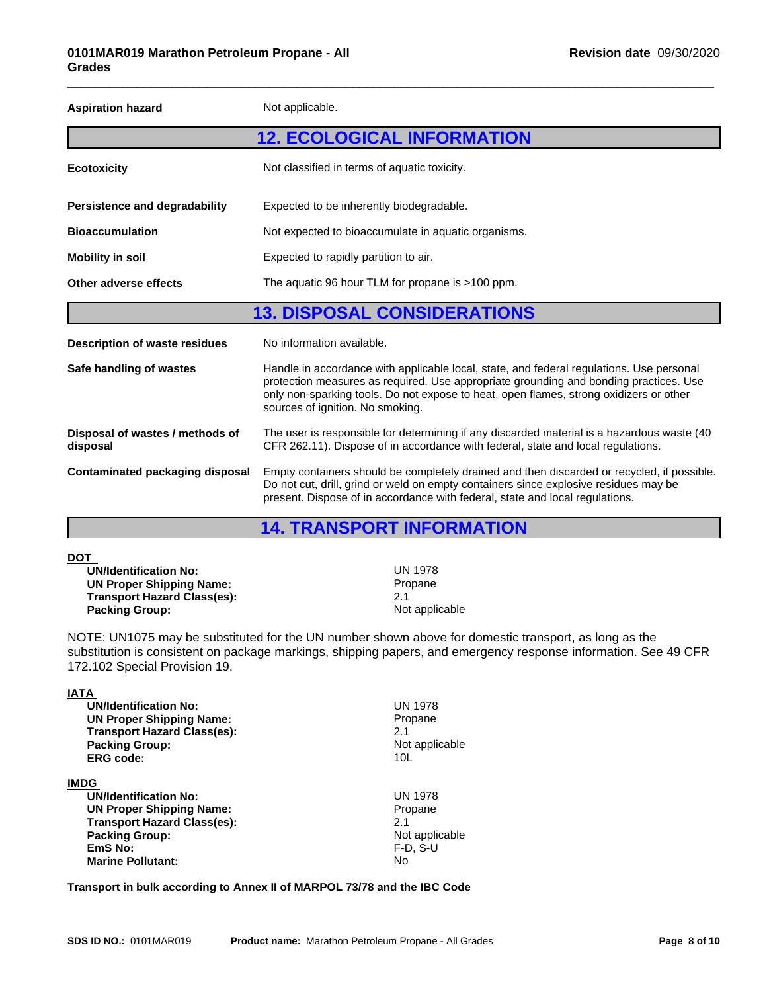| <b>Aspiration hazard</b>                    | Not applicable.                                                                                                                                                                                                                                                                                                 |  |
|---------------------------------------------|-----------------------------------------------------------------------------------------------------------------------------------------------------------------------------------------------------------------------------------------------------------------------------------------------------------------|--|
|                                             | <b>12. ECOLOGICAL INFORMATION</b>                                                                                                                                                                                                                                                                               |  |
| <b>Ecotoxicity</b>                          | Not classified in terms of aquatic toxicity.                                                                                                                                                                                                                                                                    |  |
| Persistence and degradability               | Expected to be inherently biodegradable.                                                                                                                                                                                                                                                                        |  |
| <b>Bioaccumulation</b>                      | Not expected to bioaccumulate in aquatic organisms.                                                                                                                                                                                                                                                             |  |
| <b>Mobility in soil</b>                     | Expected to rapidly partition to air.                                                                                                                                                                                                                                                                           |  |
| Other adverse effects                       | The aquatic 96 hour TLM for propane is >100 ppm.                                                                                                                                                                                                                                                                |  |
|                                             | <b>13. DISPOSAL CONSIDERATIONS</b>                                                                                                                                                                                                                                                                              |  |
| <b>Description of waste residues</b>        | No information available.                                                                                                                                                                                                                                                                                       |  |
| Safe handling of wastes                     | Handle in accordance with applicable local, state, and federal regulations. Use personal<br>protection measures as required. Use appropriate grounding and bonding practices. Use<br>only non-sparking tools. Do not expose to heat, open flames, strong oxidizers or other<br>sources of ignition. No smoking. |  |
| Disposal of wastes / methods of<br>disposal | The user is responsible for determining if any discarded material is a hazardous waste (40)<br>CFR 262.11). Dispose of in accordance with federal, state and local regulations.                                                                                                                                 |  |
| <b>Contaminated packaging disposal</b>      | Empty containers should be completely drained and then discarded or recycled, if possible.<br>Do not cut, drill, grind or weld on empty containers since explosive residues may be<br>present. Dispose of in accordance with federal, state and local regulations.                                              |  |

 $\overline{\phantom{a}}$  ,  $\overline{\phantom{a}}$  ,  $\overline{\phantom{a}}$  ,  $\overline{\phantom{a}}$  ,  $\overline{\phantom{a}}$  ,  $\overline{\phantom{a}}$  ,  $\overline{\phantom{a}}$  ,  $\overline{\phantom{a}}$  ,  $\overline{\phantom{a}}$  ,  $\overline{\phantom{a}}$  ,  $\overline{\phantom{a}}$  ,  $\overline{\phantom{a}}$  ,  $\overline{\phantom{a}}$  ,  $\overline{\phantom{a}}$  ,  $\overline{\phantom{a}}$  ,  $\overline{\phantom{a}}$ 

### **14. TRANSPORT INFORMATION**

| <b>UN 1978</b> |
|----------------|
| Propane        |
| 2.1            |
| Not applicable |
|                |

NOTE: UN1075 may be substituted for the UN number shown above for domestic transport, as long as the substitution is consistent on package markings, shipping papers, and emergency response information. See 49 CFR 172.102 Special Provision 19.

| IATA                               |                 |  |
|------------------------------------|-----------------|--|
| <b>UN/Identification No:</b>       | <b>UN 1978</b>  |  |
| <b>UN Proper Shipping Name:</b>    | Propane         |  |
| <b>Transport Hazard Class(es):</b> | 2.1             |  |
| <b>Packing Group:</b>              | Not applicable  |  |
| <b>ERG code:</b>                   | 10 <sub>L</sub> |  |
| <b>IMDG</b>                        |                 |  |
| <b>UN/Identification No:</b>       | <b>UN 1978</b>  |  |
| <b>UN Proper Shipping Name:</b>    | Propane         |  |
| <b>Transport Hazard Class(es):</b> | 2.1             |  |
| <b>Packing Group:</b>              | Not applicable  |  |
| EmS No:                            | $F-D. S-U$      |  |
| <b>Marine Pollutant:</b>           | No.             |  |
|                                    |                 |  |

**Transport in bulk according to Annex II of MARPOL 73/78 and the IBC Code**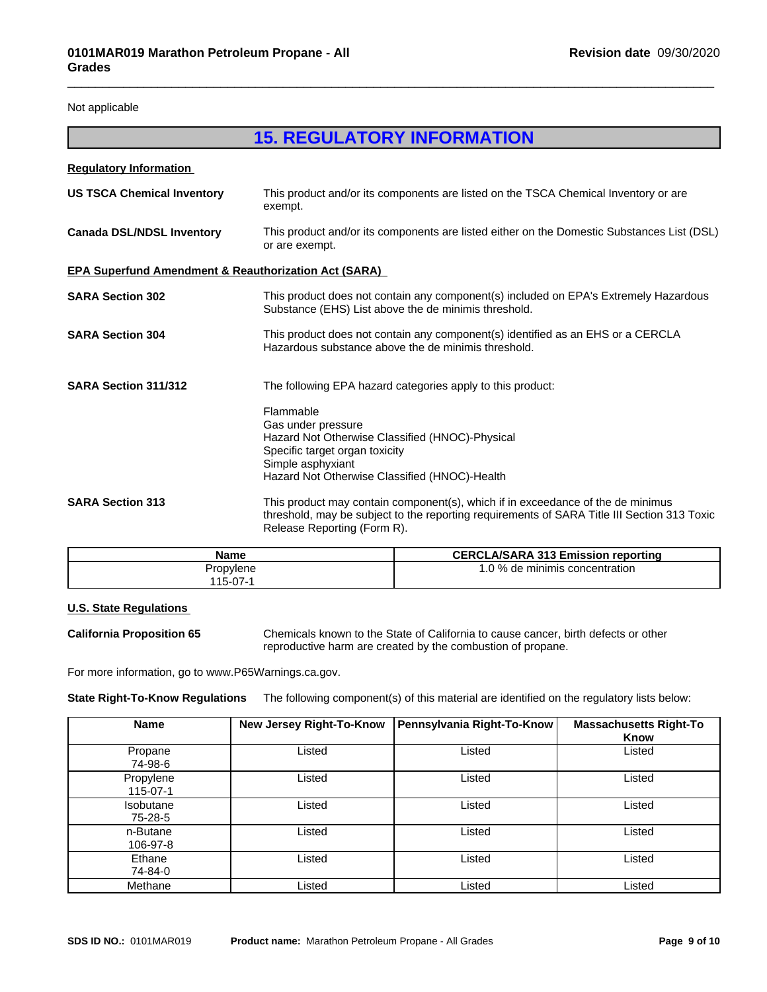Not applicable

### **15. REGULATORY INFORMATION**

 $\overline{\phantom{a}}$  ,  $\overline{\phantom{a}}$  ,  $\overline{\phantom{a}}$  ,  $\overline{\phantom{a}}$  ,  $\overline{\phantom{a}}$  ,  $\overline{\phantom{a}}$  ,  $\overline{\phantom{a}}$  ,  $\overline{\phantom{a}}$  ,  $\overline{\phantom{a}}$  ,  $\overline{\phantom{a}}$  ,  $\overline{\phantom{a}}$  ,  $\overline{\phantom{a}}$  ,  $\overline{\phantom{a}}$  ,  $\overline{\phantom{a}}$  ,  $\overline{\phantom{a}}$  ,  $\overline{\phantom{a}}$ 

| <b>Regulatory Information</b>                                   |                                                                                                                                                                                                               |
|-----------------------------------------------------------------|---------------------------------------------------------------------------------------------------------------------------------------------------------------------------------------------------------------|
| <b>US TSCA Chemical Inventory</b>                               | This product and/or its components are listed on the TSCA Chemical Inventory or are<br>exempt.                                                                                                                |
| <b>Canada DSL/NDSL Inventory</b>                                | This product and/or its components are listed either on the Domestic Substances List (DSL)<br>or are exempt.                                                                                                  |
| <b>EPA Superfund Amendment &amp; Reauthorization Act (SARA)</b> |                                                                                                                                                                                                               |
| <b>SARA Section 302</b>                                         | This product does not contain any component(s) included on EPA's Extremely Hazardous<br>Substance (EHS) List above the de minimis threshold.                                                                  |
| <b>SARA Section 304</b>                                         | This product does not contain any component(s) identified as an EHS or a CERCLA<br>Hazardous substance above the de minimis threshold.                                                                        |
| SARA Section 311/312                                            | The following EPA hazard categories apply to this product:<br>Flammable<br>Gas under pressure<br>Hazard Not Otherwise Classified (HNOC)-Physical<br>Specific target organ toxicity<br>Simple asphyxiant       |
|                                                                 | Hazard Not Otherwise Classified (HNOC)-Health                                                                                                                                                                 |
| <b>SARA Section 313</b>                                         | This product may contain component(s), which if in exceedance of the de minimus<br>threshold, may be subject to the reporting requirements of SARA Title III Section 313 Toxic<br>Release Reporting (Form R). |

| <b>Name</b> | <b>CERCLA/SARA 313 Emission reporting</b> |
|-------------|-------------------------------------------|
| Propylene   | .0 % de minimis concentration             |
| $15-07-1$   |                                           |

### **U.S. State Regulations**

**California Proposition 65** Chemicals known to the State of California to cause cancer, birth defects or other reproductive harm are created by the combustion of propane.

For more information, go to www.P65Warnings.ca.gov.

**State Right-To-Know Regulations** The following component(s) ofthis material are identified on the regulatory lists below:

| <b>Name</b>           | <b>New Jersey Right-To-Know</b> | Pennsylvania Right-To-Know | <b>Massachusetts Right-To</b><br>Know |
|-----------------------|---------------------------------|----------------------------|---------------------------------------|
| Propane<br>74-98-6    | Listed                          | Listed                     | Listed                                |
| Propylene<br>115-07-1 | Listed                          | Listed                     | Listed                                |
| Isobutane<br>75-28-5  | Listed                          | Listed                     | Listed                                |
| n-Butane<br>106-97-8  | ∟isted                          | Listed                     | Listed                                |
| Ethane<br>74-84-0     | Listed                          | Listed                     | Listed                                |
| Methane               | Listed                          | Listed                     | Listed                                |